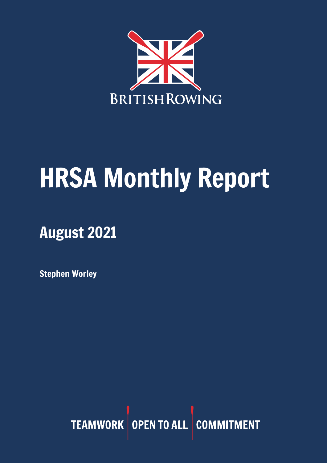

# HRSA Monthly Report

## August 2021

Stephen Worley

TEAMWORK OPEN TO ALL COMMITMENT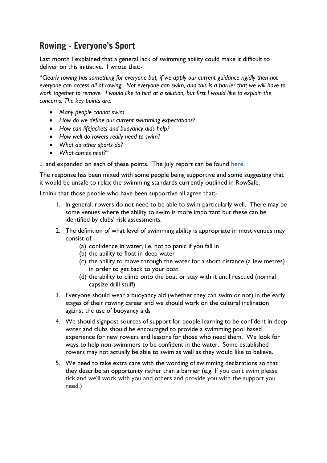## Rowing – Everyone's Sport

Last month I explained that a general lack of swimming ability could make it difficult to deliver on this initiative. I wrote that:-

"*Clearly rowing has something for everyone but, if we apply our current guidance rigidly then not everyone can access all of rowing. Not everyone can swim, and this is a barrier that we will have to work together to remove. I would like to hint at a solution, but first I would like to explain the concerns. The key points are:*

- *Many people cannot swim*
- *How do we define our current swimming expectations?*
- *How can lifejackets and buoyancy aids help?*
- *How well do rowers really need to swim?*
- *What do other sports do?*
- *What comes next?"*

... and expanded on each of these points. The July report can be found [here.](https://www.britishrowing.org/knowledge/safety/hrsa-monthly-report-archive/)

The response has been mixed with some people being supportive and some suggesting that it would be unsafe to relax the swimming standards currently outlined in RowSafe.

I think that those people who have been supportive all agree that:-

- 1. In general, rowers do not need to be able to swim particularly well. There may be some venues where the ability to swim is more important but these can be identified by clubs' risk assessments.
- 2. The definition of what level of swimming ability is appropriate in most venues may consist of:-
	- (a) confidence in water, i.e. not to panic if you fall in
	- (b) the ability to float in deep water
	- (c) the ability to move through the water for a short distance (a few metres) in order to get back to your boat
	- (d) the ability to climb onto the boat or stay with it until rescued (normal capsize drill stuff)
- 3. Everyone should wear a buoyancy aid (whether they can swim or not) in the early stages of their rowing career and we should work on the cultural inclination against the use of buoyancy aids
- 4. We should signpost sources of support for people learning to be confident in deep water and clubs should be encouraged to provide a swimming pool based experience for new rowers and lessons for those who need them. We look for ways to help non-swimmers to be confident in the water. Some established rowers may not actually be able to swim as well as they would like to believe.
- 5. We need to take extra care with the wording of swimming declarations so that they describe an opportunity rather than a barrier (e.g. If you can't swim please tick and we'll work with you and others and provide you with the support you need.)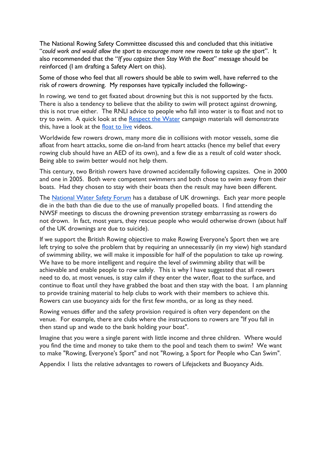The National Rowing Safety Committee discussed this and concluded that this initiative "*could work and would allow the sport to encourage more new rowers to take up the sport*". It also recommended that the "*If you capsize then Stay With the Boat*" message should be reinforced (I am drafting a Safety Alert on this).

Some of those who feel that all rowers should be able to swim well, have referred to the risk of rowers drowning. My responses have typically included the following:-

In rowing, we tend to get fixated about drowning but this is not supported by the facts. There is also a tendency to believe that the ability to swim will protect against drowning, this is not true either. The RNLI advice to people who fall into water is to float and not to try to swim. A quick look at the [Respect](https://rnli.org/safety/respect-the-water) the Water campaign materials will demonstrate this, have a look at the [float](https://rnli.org/safety/respect-the-water/floating-facts) to live videos.

Worldwide few rowers drown, many more die in collisions with motor vessels, some die afloat from heart attacks, some die on-land from heart attacks (hence my belief that every rowing club should have an AED of its own), and a few die as a result of cold water shock. Being able to swim better would not help them.

This century, two British rowers have drowned accidentally following capsizes. One in 2000 and one in 2005. Both were competent swimmers and both chose to swim away from their boats. Had they chosen to stay with their boats then the result may have been different.

The [National](https://www.nationalwatersafety.org.uk/waid) Water Safety Forum has a database of UK drownings. Each year more people die in the bath than die due to the use of manually propelled boats. I find attending the NWSF meetings to discuss the drowning prevention strategy embarrassing as rowers do not drown. In fact, most years, they rescue people who would otherwise drown (about half of the UK drownings are due to suicide).

If we support the British Rowing objective to make Rowing Everyone's Sport then we are left trying to solve the problem that by requiring an unnecessarily (in my view) high standard of swimming ability, we will make it impossible for half of the population to take up rowing. We have to be more intelligent and require the level of swimming ability that will be achievable and enable people to row safely. This is why I have suggested that all rowers need to do, at most venues, is stay calm if they enter the water, float to the surface, and continue to float until they have grabbed the boat and then stay with the boat. I am planning to provide training material to help clubs to work with their members to achieve this. Rowers can use buoyancy aids for the first few months, or as long as they need.

Rowing venues differ and the safety provision required is often very dependent on the venue. For example, there are clubs where the instructions to rowers are "If you fall in then stand up and wade to the bank holding your boat".

Imagine that you were a single parent with little income and three children. Where would you find the time and money to take them to the pool and teach them to swim? We want to make "Rowing, Everyone's Sport" and not "Rowing, a Sport for People who Can Swim".

Appendix 1 lists the relative advantages to rowers of Lifejackets and Buoyancy Aids.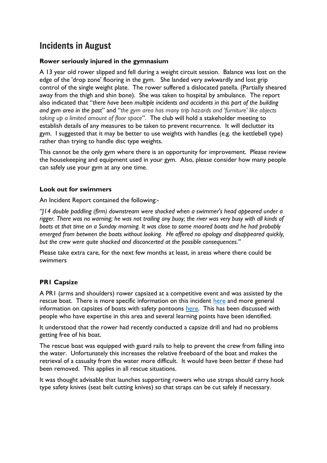## Incidents in August

#### **Rower seriously injured in the gymnasium**

A 13 year old rower slipped and fell during a weight circuit session. Balance was lost on the edge of the 'drop zone' flooring in the gym. She landed very awkwardly and lost grip control of the single weight plate. The rower suffered a dislocated patella. (Partially sheared away from the thigh and shin bone). She was taken to hospital by ambulance. The report also indicated that "*there have been multiple incidents and accidents in this part of the building and gym area in the past*" and "*the gym area has many trip hazards and 'furniture' like objects taking up a limited amount of floor space*". The club will hold a stakeholder meeting to establish details of any measures to be taken to prevent recurrence. It will declutter its gym. I suggested that it may be better to use weights with handles (e.g. the kettlebell type) rather than trying to handle disc type weights.

This cannot be the only gym where there is an opportunity for improvement. Please review the housekeeping and equipment used in your gym. Also, please consider how many people can safely use your gym at any one time.

#### **Look out for swimmers**

An Incident Report contained the following:-

*"J14 double paddling (firm) downstream were shocked when a swimmer's head appeared under a rigger. There was no warning; he was not trailing any buoy; the river was very busy with all kinds of boats at that time on a Sunday morning. It was close to some moored boats and he had probably emerged from between the boats without looking. He offered no apology and disappeared quickly, but the crew were quite shocked and disconcerted at the possible consequences."*

Please take extra care, for the next few months at least, in areas where there could be swimmers

#### **PR1 Capsize**

A PR1 (arms and shoulders) rower capsized at a competitive event and was assisted by the rescue boat. There is more specific information on this incident [here](https://adaptiverowinguk.com/index.php/2021/08/23/city-of-oxford-invitational-adaptive-regatta-2021/) and more general information on capsizes of boats with safety pontoons [here.](https://adaptiverowinguk.com/index.php/2018/09/28/capsizes-with-safety-pontoons/) This has been discussed with people who have expertise in this area and several learning points have been identified.

It understood that the rower had recently conducted a capsize drill and had no problems getting free of his boat.

The rescue boat was equipped with guard rails to help to prevent the crew from falling into the water. Unfortunately this increases the relative freeboard of the boat and makes the retrieval of a casualty from the water more difficult. It would have been better if these had been removed. This applies in all rescue situations.

It was thought advisable that launches supporting rowers who use straps should carry hook type safety knives (seat belt cutting knives) so that straps can be cut safely if necessary.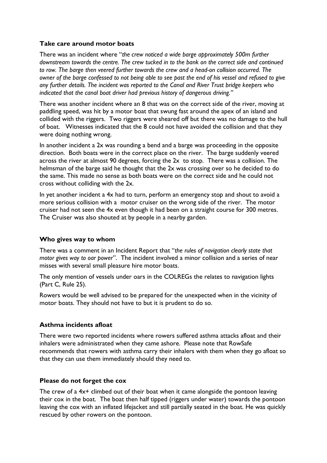#### **Take care around motor boats**

There was an incident where "*the crew noticed a wide barge approximately 500m further downstream towards the centre. The crew tucked in to the bank on the correct side and continued to row. The barge then veered further towards the crew and a head-on collision occurred. The owner of the barge confessed to not being able to see past the end of his vessel and refused to give any further details. The incident was reported to the Canal and River Trust bridge keepers who indicated that the canal boat driver had previous history of dangerous driving."*

There was another incident where an 8 that was on the correct side of the river, moving at paddling speed, was hit by a motor boat that swung fast around the apex of an island and collided with the riggers. Two riggers were sheared off but there was no damage to the hull of boat. Witnesses indicated that the 8 could not have avoided the collision and that they were doing nothing wrong.

In another incident a 2x was rounding a bend and a barge was proceeding in the opposite direction. Both boats were in the correct place on the river. The barge suddenly veered across the river at almost 90 degrees, forcing the 2x to stop. There was a collision. The helmsman of the barge said he thought that the 2x was crossing over so he decided to do the same. This made no sense as both boats were on the correct side and he could not cross without colliding with the 2x.

In yet another incident a 4x had to turn, perform an emergency stop and shout to avoid a more serious collision with a motor cruiser on the wrong side of the river. The motor cruiser had not seen the 4x even though it had been on a straight course for 300 metres. The Cruiser was also shouted at by people in a nearby garden.

#### **Who gives way to whom**

There was a comment in an Incident Report that "*the rules of navigation clearly state that motor gives way to oar power*". The incident involved a minor collision and a series of near misses with several small pleasure hire motor boats.

The only mention of vessels under oars in the COLREGs the relates to navigation lights (Part C, Rule 25).

Rowers would be well advised to be prepared for the unexpected when in the vicinity of motor boats. They should not have to but it is prudent to do so.

#### **Asthma incidents afloat**

There were two reported incidents where rowers suffered asthma attacks afloat and their inhalers were administrated when they came ashore. Please note that RowSafe recommends that rowers with asthma carry their inhalers with them when they go afloat so that they can use them immediately should they need to.

#### **Please do not forget the cox**

The crew of a 4x+ climbed out of their boat when it came alongside the pontoon leaving their cox in the boat. The boat then half tipped (riggers under water) towards the pontoon leaving the cox with an inflated lifejacket and still partially seated in the boat. He was quickly rescued by other rowers on the pontoon.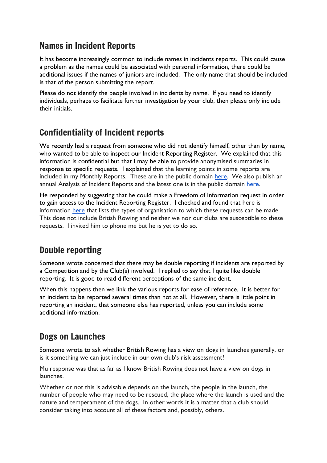## Names in Incident Reports

It has become increasingly common to include names in incidents reports. This could cause a problem as the names could be associated with personal information, there could be additional issues if the names of juniors are included. The only name that should be included is that of the person submitting the report.

Please do not identify the people involved in incidents by name. If you need to identify individuals, perhaps to facilitate further investigation by your club, then please only include their initials.

## Confidentiality of Incident reports

We recently had a request from someone who did not identify himself, other than by name, who wanted to be able to inspect our Incident Reporting Register. We explained that this information is confidential but that I may be able to provide anonymised summaries in response to specific requests. I explained that the learning points in some reports are included in my Monthly Reports. These are in the public domain [here.](https://www.britishrowing.org/knowledge/safety/hrsa-monthly-report-archive/) We also publish an annual Analysis of Incident Reports and the latest one is in the public domain [here.](https://www.britishrowing.org/wp-content/uploads/2021/01/2020-Incident-Analysis.pdf)

He responded by suggesting that he could make a Freedom of Information request in order to gain access to the Incident Reporting Register. I checked and found that here is information [here](https://www.gov.uk/make-a-freedom-of-information-request/organisations-you-can-ask-for-information) that lists the types of organisation to which these requests can be made. This does not include British Rowing and neither we nor our clubs are susceptible to these requests. I invited him to phone me but he is yet to do so.

## Double reporting

Someone wrote concerned that there may be double reporting if incidents are reported by a Competition and by the Club(s) involved. I replied to say that I quite like double reporting. It is good to read different perceptions of the same incident.

When this happens then we link the various reports for ease of reference. It is better for an incident to be reported several times than not at all. However, there is little point in reporting an incident, that someone else has reported, unless you can include some additional information.

#### Dogs on Launches

Someone wrote to ask whether British Rowing has a view on dogs in launches generally, or is it something we can just include in our own club's risk assessment?

Mu response was that as far as I know British Rowing does not have a view on dogs in launches.

Whether or not this is advisable depends on the launch, the people in the launch, the number of people who may need to be rescued, the place where the launch is used and the nature and temperament of the dogs. In other words it is a matter that a club should consider taking into account all of these factors and, possibly, others.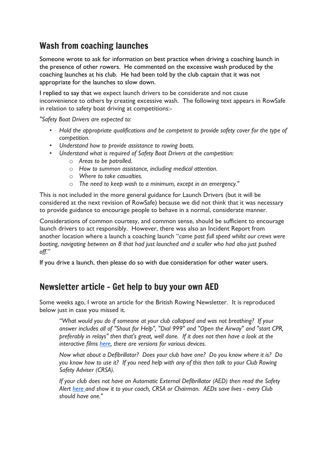## Wash from coaching launches

Someone wrote to ask for information on best practice when driving a coaching launch in the presence of other rowers. He commented on the excessive wash produced by the coaching launches at his club. He had been told by the club captain that it was not appropriate for the launches to slow down.

I replied to say that we expect launch drivers to be considerate and not cause inconvenience to others by creating excessive wash. The following text appears in RowSafe in relation to safety boat driving at competitions:-

*"Safety Boat Drivers are expected to:*

- *• Hold the appropriate qualifications and be competent to provide safety cover for the type of competition.*
- *• Understand how to provide assistance to rowing boats.*
- *• Understand what is required of Safety Boat Drivers at the competition:*
	- o *Areas to be patrolled.*
	- o *How to summon assistance, including medical attention.*
	- o *Where to take casualties.*
	- o *The need to keep wash to a minimum, except in an emergency."*

This is not included in the more general guidance for Launch Drivers (but it will be considered at the next revision of RowSafe) because we did not think that it was necessary to provide guidance to encourage people to behave in a normal, considerate manner.

Considerations of common courtesy, and common sense, should be sufficient to encourage launch drivers to act responsibly. However, there was also an Incident Report from another location where a launch a coaching launch "*came past full speed whilst our crews were boating, navigating between an 8 that had just launched and a sculler who had also just pushed off*."

If you drive a launch, then please do so with due consideration for other water users.

#### Newsletter article – Get help to buy your own AED

Some weeks ago, I wrote an article for the British Rowing Newsletter. It is reproduced below just in case you missed it.

*"What would you do if someone at your club collapsed and was not breathing? If your answer includes all of "Shout for Help", "Dial 999" and "Open the Airway" and "start CPR, preferably in relays" then that's great, well done. If it does not then have a look at the interactive films [here,](https://www.resus.org.uk/public-resource/how-we-save-lives/lifesaver-learning/lifesaver) there are versions for various devices.* 

*Now what about a Defibrillator? Does your club have one? Do you know where it is? Do you know how to use it? If you need help with any of this then talk to your Club Rowing Safety Adviser (CRSA).*

*If your club does not have an Automatic External Defibrillator (AED) then read the Safety Alert [here a](https://www.britishrowing.org/wp-content/uploads/2021/07/Safety-Alert-Get-help-to-buy-your-own-AED-July-2021.pdf)nd show it to your coach, CRSA or Chairman. AEDs save lives - every Club should have one."*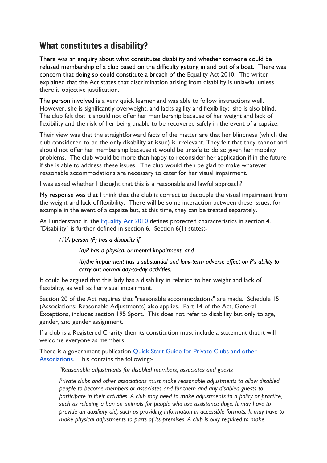## What constitutes a disability?

There was an enquiry about what constitutes disability and whether someone could be refused membership of a club based on the difficulty getting in and out of a boat. There was concern that doing so could constitute a breach of the Equality Act 2010. The writer explained that the Act states that discrimination arising from disability is unlawful unless there is objective justification.

The person involved is a very quick learner and was able to follow instructions well. However, she is significantly overweight, and lacks agility and flexibility; she is also blind. The club felt that it should not offer her membership because of her weight and lack of flexibility and the risk of her being unable to be recovered safely in the event of a capsize.

Their view was that the straightforward facts of the matter are that her blindness (which the club considered to be the only disability at issue) is irrelevant. They felt that they cannot and should not offer her membership because it would be unsafe to do so given her mobility problems. The club would be more than happy to reconsider her application if in the future if she is able to address these issues. The club would then be glad to make whatever reasonable accommodations are necessary to cater for her visual impairment.

I was asked whether I thought that this is a reasonable and lawful approach?

My response was that I think that the club is correct to decouple the visual impairment from the weight and lack of flexibility. There will be some interaction between these issues, for example in the event of a capsize but, at this time, they can be treated separately.

As I understand it, the **[Equality](https://www.legislation.gov.uk/ukpga/2010/15/contents) Act 2010** defines protected characteristics in section 4. "Disability" is further defined in section 6. Section 6(1) states:-

*(1)A person (P) has a disability if—*

*(a)P has a physical or mental impairment, and*

*(b)the impairment has a substantial and long-term adverse effect on P's ability to carry out normal day-to-day activities.*

It could be argued that this lady has a disability in relation to her weight and lack of flexibility, as well as her visual impairment.

Section 20 of the Act requires that "reasonable accommodations" are made. Schedule 15 (Associations; Reasonable Adjustments) also applies. Part 14 of the Act, General Exceptions, includes section 195 Sport. This does not refer to disability but only to age, gender, and gender assignment.

If a club is a Registered Charity then its constitution must include a statement that it will welcome everyone as members.

There is a government publication Quick Start Guide for [Private](https://assets.publishing.service.gov.uk/government/uploads/system/uploads/attachment_data/file/85018/private-clubs.pdf) Clubs and other [Associations.](https://assets.publishing.service.gov.uk/government/uploads/system/uploads/attachment_data/file/85018/private-clubs.pdf) This contains the following:-

*"Reasonable adjustments for disabled members, associates and guests*

*Private clubs and other associations must make reasonable adjustments to allow disabled people to become members or associates and for them and any disabled guests to participate in their activities. A club may need to make adjustments to a policy or practice, such as relaxing a ban on animals for people who use assistance dogs. It may have to provide an auxiliary aid, such as providing information in accessible formats. It may have to make physical adjustments to parts of its premises. A club is only required to make*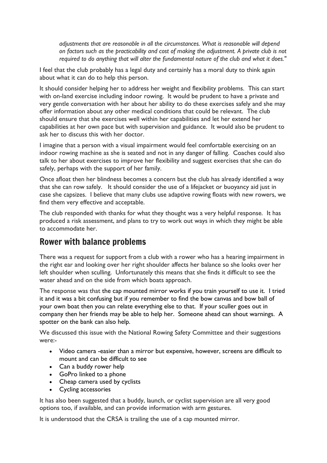*adjustments that are reasonable in all the circumstances. What is reasonable will depend on factors such as the practicability and cost of making the adjustment. A private club is not required to do anything that will alter the fundamental nature of the club and what it does."*

I feel that the club probably has a legal duty and certainly has a moral duty to think again about what it can do to help this person.

It should consider helping her to address her weight and flexibility problems. This can start with on-land exercise including indoor rowing. It would be prudent to have a private and very gentle conversation with her about her ability to do these exercises safely and she may offer information about any other medical conditions that could be relevant. The club should ensure that she exercises well within her capabilities and let her extend her capabilities at her own pace but with supervision and guidance. It would also be prudent to ask her to discuss this with her doctor.

I imagine that a person with a visual impairment would feel comfortable exercising on an indoor rowing machine as she is seated and not in any danger of falling. Coaches could also talk to her about exercises to improve her flexibility and suggest exercises that she can do safely, perhaps with the support of her family.

Once afloat then her blindness becomes a concern but the club has already identified a way that she can row safely. It should consider the use of a lifejacket or buoyancy aid just in case she capsizes. I believe that many clubs use adaptive rowing floats with new rowers, we find them very effective and acceptable.

The club responded with thanks for what they thought was a very helpful response. It has produced a risk assessment, and plans to try to work out ways in which they might be able to accommodate her.

#### Rower with balance problems

There was a request for support from a club with a rower who has a hearing impairment in the right ear and looking over her right shoulder affects her balance so she looks over her left shoulder when sculling. Unfortunately this means that she finds it difficult to see the water ahead and on the side from which boats approach.

The response was that the cap mounted mirror works if you train yourself to use it. I tried it and it was a bit confusing but if you remember to find the bow canvas and bow ball of your own boat then you can relate everything else to that. If your sculler goes out in company then her friends may be able to help her. Someone ahead can shout warnings. A spotter on the bank can also help.

We discussed this issue with the National Rowing Safety Committee and their suggestions were:-

- Video camera -easier than a mirror but expensive, however, screens are difficult to mount and can be difficult to see
- Can a buddy rower help
- GoPro linked to a phone
- Cheap camera used by cyclists
- Cycling accessories

It has also been suggested that a buddy, launch, or cyclist supervision are all very good options too, if available, and can provide information with arm gestures.

It is understood that the CRSA is trailing the use of a cap mounted mirror.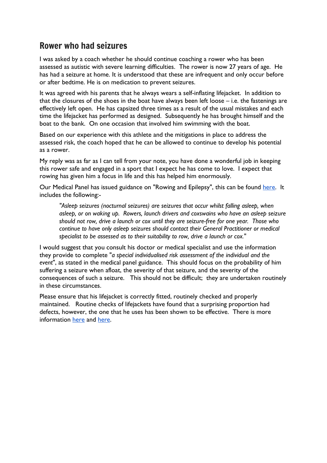#### Rower who had seizures

I was asked by a coach whether he should continue coaching a rower who has been assessed as autistic with severe learning difficulties. The rower is now 27 years of age. He has had a seizure at home. It is understood that these are infrequent and only occur before or after bedtime. He is on medication to prevent seizures.

It was agreed with his parents that he always wears a self-inflating lifejacket. In addition to that the closures of the shoes in the boat have always been left loose – i.e. the fastenings are effectively left open. He has capsized three times as a result of the usual mistakes and each time the lifejacket has performed as designed. Subsequently he has brought himself and the boat to the bank. On one occasion that involved him swimming with the boat.

Based on our experience with this athlete and the mitigations in place to address the assessed risk, the coach hoped that he can be allowed to continue to develop his potential as a rower.

My reply was as far as I can tell from your note, you have done a wonderful job in keeping this rower safe and engaged in a sport that I expect he has come to love. I expect that rowing has given him a focus in life and this has helped him enormously.

Our Medical Panel has issued guidance on "Rowing and Epilepsy", this can be found [here.](https://www.britishrowing.org/knowledge/safety/health-and-fitness/rowing-and-epilepsy/) It includes the following:-

*"Asleep seizures (nocturnal seizures) are seizures that occur whilst falling asleep, when asleep, or on waking up. Rowers, launch drivers and coxswains who have an asleep seizure should not row, drive a launch or cox until they are seizure-free for one year. Those who continue to have only asleep seizures should contact their General Practitioner or medical specialist to be assessed as to their suitability to row, drive a launch or cox."*

I would suggest that you consult his doctor or medical specialist and use the information they provide to complete "*a special individualised risk assessment of the individual and the event*", as stated in the medical panel guidance. This should focus on the probability of him suffering a seizure when afloat, the severity of that seizure, and the severity of the consequences of such a seizure. This should not be difficult; they are undertaken routinely in these circumstances.

Please ensure that his lifejacket is correctly fitted, routinely checked and properly maintained. Routine checks of lifejackets have found that a surprising proportion had defects, however, the one that he uses has been shown to be effective. There is more information [here](https://www.britishrowing.org/wp-content/uploads/2015/09/Safety-Alert-check-your-lifejacket.pdf) and [here.](https://www.britishrowing.org/wp-content/uploads/2015/09/Safety-Alert-February-2015-Lifejackets.pdf)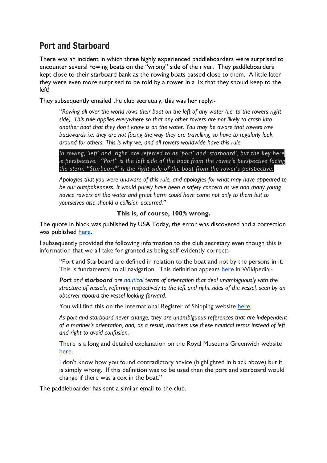## Port and Starboard

There was an incident in which three highly experienced paddleboarders were surprised to encounter several rowing boats on the "wrong" side of the river. They paddleboarders kept close to their starboard bank as the rowing boats passed close to them. A little later they were even more surprised to be told by a rower in a 1x that they should keep to the left!

They subsequently emailed the club secretary, this was her reply:-

"Rowing all over the world rows their boat on the left of any water (i.e. to the rowers right *side). This rule applies everywhere so that any other rowers are not likely to crash into another boat that they don't know is on the water. You may be aware that rowers row backwards i.e. they are not facing the way they are travelling, so have to regularly look around for others. This is why we, and all rowers worldwide have this rule.*

*In rowing, 'left' and 'right' are referred to as 'port' and 'starboard', but the key here is perspective. "Port" is the left side of the boat from the rower's perspective facing the stern. "Starboard" is the right side of the boat from the rower's perspective.*

*Apologies that you were unaware of this rule, and apologies for what may have appeared to be our outspokenness. It would purely have been a safety concern as we had many young novice rowers on the water and great harm could have come not only to them but to yourselves also should a collision occurred."*

#### **This is, of course, 100% wrong.**

The quote in black was published by USA Today, the error was discovered and a correction was published [here.](https://eu.usatoday.com/story/sports/olympics/2021/07/23/rowing-tokyo-olympics-seven-events/8070502002/)

I subsequently provided the following information to the club secretary even though this is information that we all take for granted as being self-evidently correct:-

"Port and Starboard are defined in relation to the boat and not by the persons in it. This is fundamental to all navigation. This definition appears [here](https://en.wikipedia.org/wiki/Port_and_starboard) in Wikipedia:-

*Port and starboard are [nautical](https://en.wikipedia.org/wiki/Glossary_of_nautical_terms) terms of orientation that deal unambiguously with the structure of vessels, referring respectively to the left and right sides of the vessel, seen by an observer aboard the vessel looking forward.*

You will find this on the International Register of Shipping website [here](https://intlreg.org/2019/10/08/why-do-ships-use-port-and-starboard-and-not-left-or-right/).

*As port and starboard never change, they are unambiguous references that are independent of a mariner's orientation, and, as a result, mariners use these nautical terms instead of left and right to avoid confusion.*

There is a long and detailed explanation on the Royal Museums Greenwich website [here.](https://www.rmg.co.uk/stories/topics/port-starboard)

I don't know how you found contradictory advice (highlighted in black above) but it is simply wrong. If this definition was to be used then the port and starboard would change if there was a cox in the boat."

The paddleboarder has sent a similar email to the club.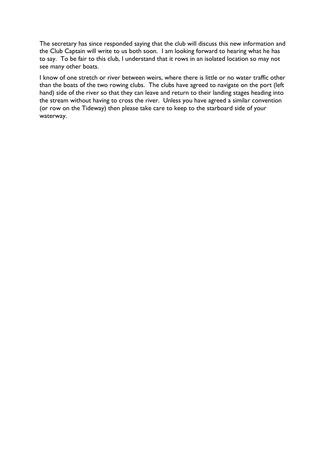The secretary has since responded saying that the club will discuss this new information and the Club Captain will write to us both soon. I am looking forward to hearing what he has to say. To be fair to this club, I understand that it rows in an isolated location so may not see many other boats.

I know of one stretch or river between weirs, where there is little or no water traffic other than the boats of the two rowing clubs. The clubs have agreed to navigate on the port (left hand) side of the river so that they can leave and return to their landing stages heading into the stream without having to cross the river. Unless you have agreed a similar convention (or row on the Tideway) then please take care to keep to the starboard side of your waterway.